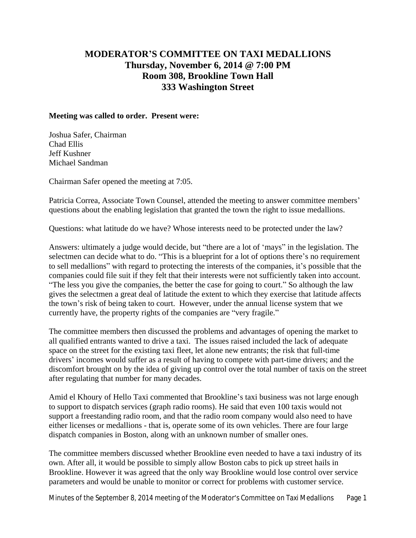## **MODERATOR'S COMMITTEE ON TAXI MEDALLIONS Thursday, November 6, 2014 @ 7:00 PM Room 308, Brookline Town Hall 333 Washington Street**

## **Meeting was called to order. Present were:**

Joshua Safer, Chairman Chad Ellis Jeff Kushner Michael Sandman

Chairman Safer opened the meeting at 7:05.

Patricia Correa, Associate Town Counsel, attended the meeting to answer committee members' questions about the enabling legislation that granted the town the right to issue medallions.

Questions: what latitude do we have? Whose interests need to be protected under the law?

Answers: ultimately a judge would decide, but "there are a lot of 'mays" in the legislation. The selectmen can decide what to do. "This is a blueprint for a lot of options there's no requirement to sell medallions" with regard to protecting the interests of the companies, it's possible that the companies could file suit if they felt that their interests were not sufficiently taken into account. "The less you give the companies, the better the case for going to court." So although the law gives the selectmen a great deal of latitude the extent to which they exercise that latitude affects the town's risk of being taken to court. However, under the annual license system that we currently have, the property rights of the companies are "very fragile."

The committee members then discussed the problems and advantages of opening the market to all qualified entrants wanted to drive a taxi. The issues raised included the lack of adequate space on the street for the existing taxi fleet, let alone new entrants; the risk that full-time drivers' incomes would suffer as a result of having to compete with part-time drivers; and the discomfort brought on by the idea of giving up control over the total number of taxis on the street after regulating that number for many decades.

Amid el Khoury of Hello Taxi commented that Brookline's taxi business was not large enough to support to dispatch services (graph radio rooms). He said that even 100 taxis would not support a freestanding radio room, and that the radio room company would also need to have either licenses or medallions - that is, operate some of its own vehicles. There are four large dispatch companies in Boston, along with an unknown number of smaller ones.

The committee members discussed whether Brookline even needed to have a taxi industry of its own. After all, it would be possible to simply allow Boston cabs to pick up street hails in Brookline. However it was agreed that the only way Brookline would lose control over service parameters and would be unable to monitor or correct for problems with customer service.

Minutes of the September 8, 2014 meeting of the Moderator's Committee on Taxi Medallions Page 1